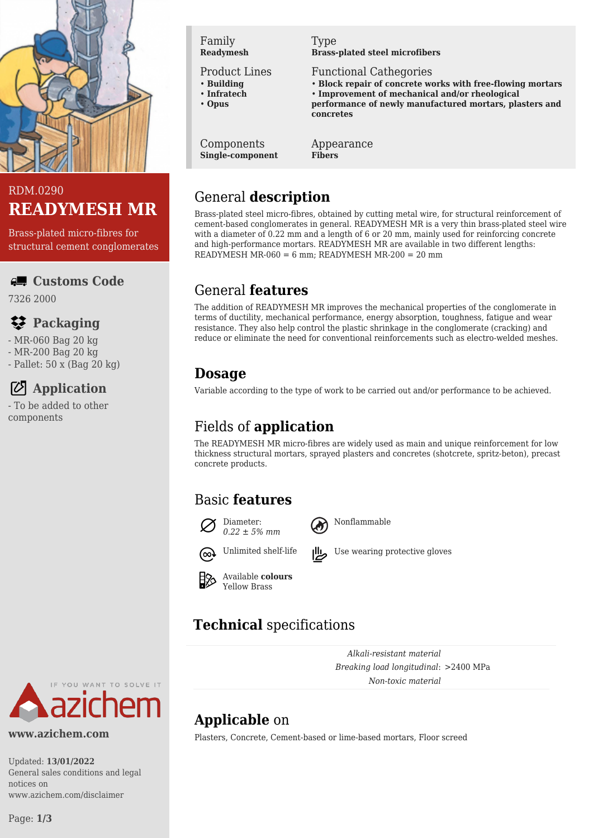



Brass-plated micro-fibres for structural cement conglomerates

#### **Customs Code**

7326 2000

### **Packaging**

- MR-060 Bag 20 kg
- MR-200 Bag 20 kg
- Pallet: 50 x (Bag 20 kg)

## **Application**

- To be added to other components



Product Lines

- **Building**
- **Infratech** • **Opus**
- 

Components **Single-component** Type **Brass-plated steel microfibers**

Functional Cathegories

- **Block repair of concrete works with free-flowing mortars**
- **Improvement of mechanical and/or rheological**
- **performance of newly manufactured mortars, plasters and concretes**

Appearance **Fibers**

# General **description**

Brass-plated steel micro-fibres, obtained by cutting metal wire, for structural reinforcement of cement-based conglomerates in general. READYMESH MR is a very thin brass-plated steel wire with a diameter of 0.22 mm and a length of 6 or 20 mm, mainly used for reinforcing concrete and high-performance mortars. READYMESH MR are available in two different lengths: READYMESH MR-060 = 6 mm; READYMESH MR-200 = 20 mm

## General **features**

The addition of READYMESH MR improves the mechanical properties of the conglomerate in terms of ductility, mechanical performance, energy absorption, toughness, fatigue and wear resistance. They also help control the plastic shrinkage in the conglomerate (cracking) and reduce or eliminate the need for conventional reinforcements such as electro-welded meshes.

## **Dosage**

Variable according to the type of work to be carried out and/or performance to be achieved.

# Fields of **application**

The READYMESH MR micro-fibres are widely used as main and unique reinforcement for low thickness structural mortars, sprayed plasters and concretes (shotcrete, spritz-beton), precast concrete products.

## Basic **features**





Nonflammable







# **Technical** specifications

*Alkali-resistant material Breaking load longitudinal*: >2400 MPa *Non-toxic material*

# **Applicable** on

Plasters, Concrete, Cement-based or lime-based mortars, Floor screed

Updated: **13/01/2022** General sales conditions and legal notices on www.azichem.com/disclaimer

YOU WANT TO SOLVE IT

**www.azichem.com**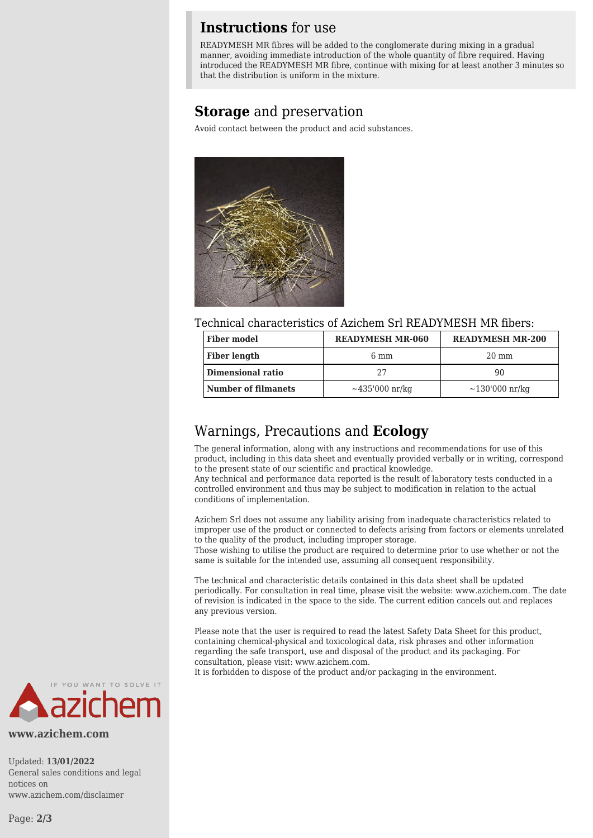#### **Instructions** for use

READYMESH MR fibres will be added to the conglomerate during mixing in a gradual manner, avoiding immediate introduction of the whole quantity of fibre required. Having introduced the READYMESH MR fibre, continue with mixing for at least another 3 minutes so that the distribution is uniform in the mixture.

#### **Storage** and preservation

Avoid contact between the product and acid substances.



Technical characteristics of Azichem Srl READYMESH MR fibers:

| <b>Fiber model</b>  | <b>READYMESH MR-060</b> | <b>READYMESH MR-200</b> |
|---------------------|-------------------------|-------------------------|
| <b>Fiber length</b> | $6 \text{ mm}$          | $20 \text{ mm}$         |
| Dimensional ratio   |                         | 90                      |
| Number of filmanets | $\sim$ 435'000 nr/kg    | $\sim$ 130'000 nr/kg    |

#### Warnings, Precautions and **Ecology**

The general information, along with any instructions and recommendations for use of this product, including in this data sheet and eventually provided verbally or in writing, correspond to the present state of our scientific and practical knowledge.

Any technical and performance data reported is the result of laboratory tests conducted in a controlled environment and thus may be subject to modification in relation to the actual conditions of implementation.

Azichem Srl does not assume any liability arising from inadequate characteristics related to improper use of the product or connected to defects arising from factors or elements unrelated to the quality of the product, including improper storage.

Those wishing to utilise the product are required to determine prior to use whether or not the same is suitable for the intended use, assuming all consequent responsibility.

The technical and characteristic details contained in this data sheet shall be updated periodically. For consultation in real time, please visit the website: www.azichem.com. The date of revision is indicated in the space to the side. The current edition cancels out and replaces any previous version.

Please note that the user is required to read the latest Safety Data Sheet for this product, containing chemical-physical and toxicological data, risk phrases and other information regarding the safe transport, use and disposal of the product and its packaging. For consultation, please visit: www.azichem.com.

It is forbidden to dispose of the product and/or packaging in the environment.



**www.azichem.com**

Updated: **13/01/2022** General sales conditions and legal notices on www.azichem.com/disclaimer